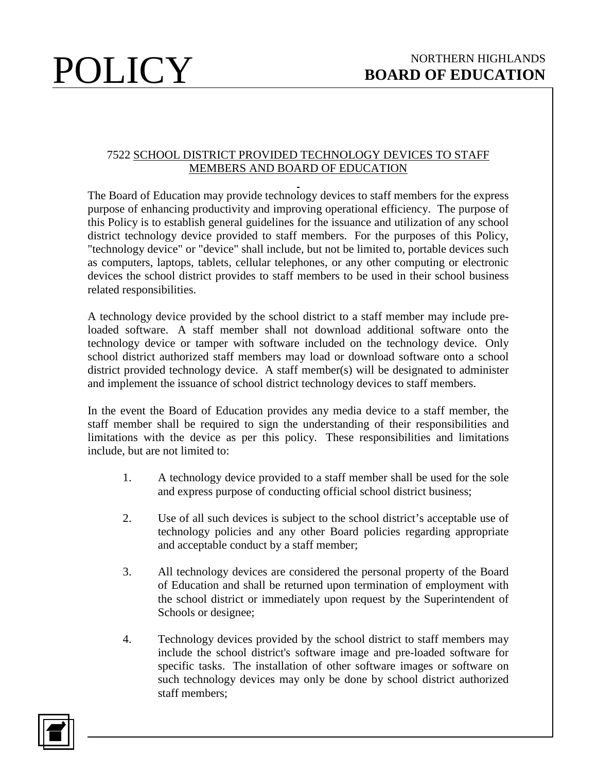## 7522 SCHOOL DISTRICT PROVIDED TECHNOLOGY DEVICES TO STAFF MEMBERS AND BOARD OF EDUCATION

The Board of Education may provide technology devices to staff members for the express purpose of enhancing productivity and improving operational efficiency. The purpose of this Policy is to establish general guidelines for the issuance and utilization of any school district technology device provided to staff members. For the purposes of this Policy, "technology device" or "device" shall include, but not be limited to, portable devices such as computers, laptops, tablets, cellular telephones, or any other computing or electronic devices the school district provides to staff members to be used in their school business related responsibilities.

A technology device provided by the school district to a staff member may include preloaded software. A staff member shall not download additional software onto the technology device or tamper with software included on the technology device. Only school district authorized staff members may load or download software onto a school district provided technology device. A staff member(s) will be designated to administer and implement the issuance of school district technology devices to staff members.

In the event the Board of Education provides any media device to a staff member, the staff member shall be required to sign the understanding of their responsibilities and limitations with the device as per this policy. These responsibilities and limitations include, but are not limited to:

- 1. A technology device provided to a staff member shall be used for the sole and express purpose of conducting official school district business;
- 2. Use of all such devices is subject to the school district's acceptable use of technology policies and any other Board policies regarding appropriate and acceptable conduct by a staff member;
- 3. All technology devices are considered the personal property of the Board of Education and shall be returned upon termination of employment with the school district or immediately upon request by the Superintendent of Schools or designee;
- 4. Technology devices provided by the school district to staff members may include the school district's software image and pre-loaded software for specific tasks. The installation of other software images or software on such technology devices may only be done by school district authorized staff members;

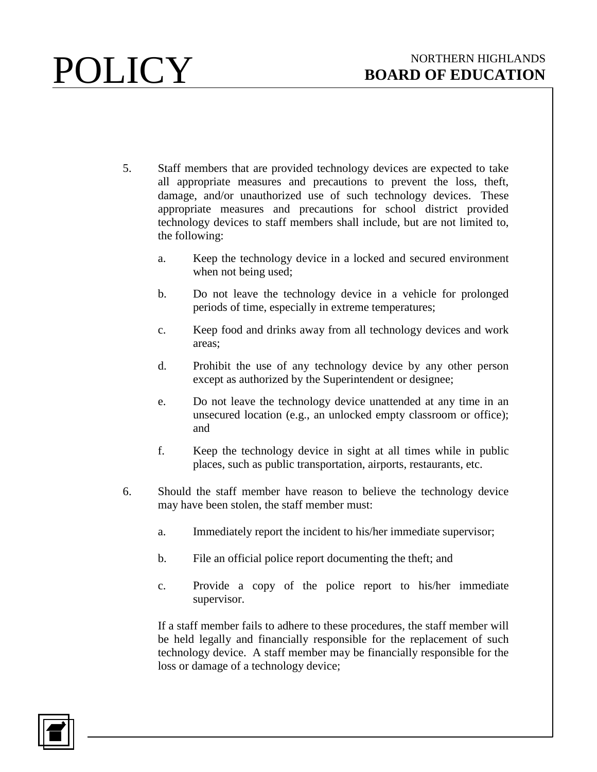- 5. Staff members that are provided technology devices are expected to take all appropriate measures and precautions to prevent the loss, theft, damage, and/or unauthorized use of such technology devices. These appropriate measures and precautions for school district provided technology devices to staff members shall include, but are not limited to, the following:
	- a. Keep the technology device in a locked and secured environment when not being used;
	- b. Do not leave the technology device in a vehicle for prolonged periods of time, especially in extreme temperatures;
	- c. Keep food and drinks away from all technology devices and work areas;
	- d. Prohibit the use of any technology device by any other person except as authorized by the Superintendent or designee;
	- e. Do not leave the technology device unattended at any time in an unsecured location (e.g., an unlocked empty classroom or office); and
	- f. Keep the technology device in sight at all times while in public places, such as public transportation, airports, restaurants, etc.
- 6. Should the staff member have reason to believe the technology device may have been stolen, the staff member must:
	- a. Immediately report the incident to his/her immediate supervisor;
	- b. File an official police report documenting the theft; and
	- c. Provide a copy of the police report to his/her immediate supervisor.

If a staff member fails to adhere to these procedures, the staff member will be held legally and financially responsible for the replacement of such technology device. A staff member may be financially responsible for the loss or damage of a technology device;